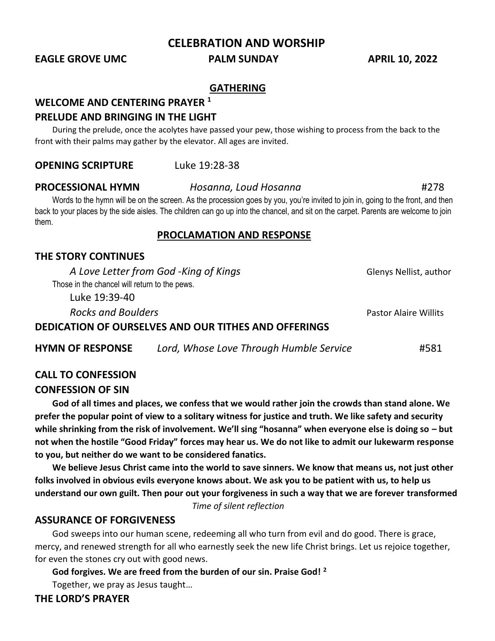**CELEBRATION AND WORSHIP**

**EAGLE GROVE UMC PALM SUNDAY APRIL 10, 2022**

## **GATHERING**

#### **WELCOME AND CENTERING PRAYER <sup>1</sup>**

#### **PRELUDE AND BRINGING IN THE LIGHT**

During the prelude, once the acolytes have passed your pew, those wishing to process from the back to the front with their palms may gather by the elevator. All ages are invited.

**OPENING SCRIPTURE** Luke 19:28-38

Words to the hymn will be on the screen. As the procession goes by you, you're invited to join in, going to the front, and then back to your places by the side aisles. The children can go up into the chancel, and sit on the carpet. Parents are welcome to join them.

#### **PROCLAMATION AND RESPONSE**

### **THE STORY CONTINUES**

*A Love Letter from God* -*King of Kings* Glenys Nellist, author Those in the chancel will return to the pews.

Luke 19:39-40

*Rocks and Boulders* Pastor Alaire Willits

#### **DEDICATION OF OURSELVES AND OUR TITHES AND OFFERINGS**

| <b>HYMN OF RESPONSE</b> | Lord, Whose Love Through Humble Service | #581 |
|-------------------------|-----------------------------------------|------|
|-------------------------|-----------------------------------------|------|

### **CALL TO CONFESSION**

#### **CONFESSION OF SIN**

**God of all times and places, we confess that we would rather join the crowds than stand alone. We prefer the popular point of view to a solitary witness for justice and truth. We like safety and security while shrinking from the risk of involvement. We'll sing "hosanna" when everyone else is doing so – but not when the hostile "Good Friday" forces may hear us. We do not like to admit our lukewarm response to you, but neither do we want to be considered fanatics.**

**We believe Jesus Christ came into the world to save sinners. We know that means us, not just other folks involved in obvious evils everyone knows about. We ask you to be patient with us, to help us understand our own guilt. Then pour out your forgiveness in such a way that we are forever transformed** 

*Time of silent reflection* 

### **ASSURANCE OF FORGIVENESS**

God sweeps into our human scene, redeeming all who turn from evil and do good. There is grace, mercy, and renewed strength for all who earnestly seek the new life Christ brings. Let us rejoice together, for even the stones cry out with good news.

**God forgives. We are freed from the burden of our sin. Praise God! <sup>2</sup>** Together, we pray as Jesus taught…

**THE LORD'S PRAYER**

# **PROCESSIONAL HYMN** *Hosanna, Loud Hosanna* #278